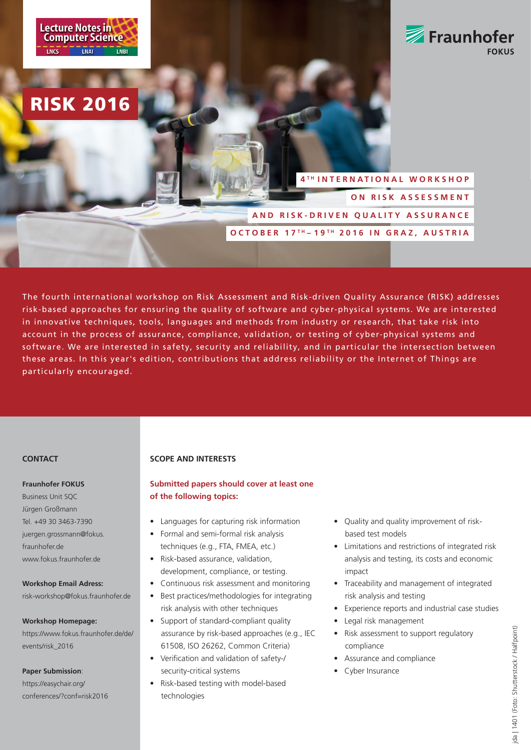RISK 2016



# **4 T H INTERNATIONAL WORKSHOP ON RISK ASSESSMENT AND RISK-DRIVEN QUALITY ASSURANCE OCTOBER 17 T H – 19 T H 2016 IN GRAZ, AUSTRIA**

The fourth international workshop on Risk Assessment and Risk-driven Quality Assurance (RISK) addresses risk-based approaches for ensuring the quality of software and cyber-physical systems. We are interested in innovative techniques, tools, languages and methods from industry or research, that take risk into account in the process of assurance, compliance, validation, or testing of cyber-physical systems and software. We are interested in safety, security and reliability, and in particular the intersection between these areas. In this year's edition, contributions that address reliability or the Internet of Things are particularly encouraged.

# **CONTACT**

## **Fraunhofer FOKUS**

Business Unit SQC Jürgen Großmann Tel. +49 30 3463-7390 juergen.grossmann@fokus. fraunhofer.de www.fokus.fraunhofer.de

### **Workshop Email Adress:**

risk-workshop@fokus.fraunhofer.de

#### **Workshop Homepage:**

https://www.fokus.fraunhofer.de/de/ events/risk\_2016

## **Paper Submission**:

https://easychair.org/ conferences/?conf=risk2016

## **SCOPE AND INTERESTS**

## **Submitted papers should cover at least one of the following topics:**

- Languages for capturing risk information
- Formal and semi-formal risk analysis techniques (e.g., FTA, FMEA, etc.)
- Risk-based assurance, validation, development, compliance, or testing.
- Continuous risk assessment and monitoring
- Best practices/methodologies for integrating risk analysis with other techniques
- Support of standard-compliant quality assurance by risk-based approaches (e.g., IEC 61508, ISO 26262, Common Criteria)
- Verification and validation of safety-/ security-critical systems
- Risk-based testing with model-based technologies
- Quality and quality improvement of risk based test models
- Limitations and restrictions of integrated risk analysis and testing, its costs and economic impact
- Traceability and management of integrated risk analysis and testing
- Experience reports and industrial case studies
- Legal risk management
- Risk assessment to support regulatory compliance
- Assurance and compliance
- Cyber Insurance